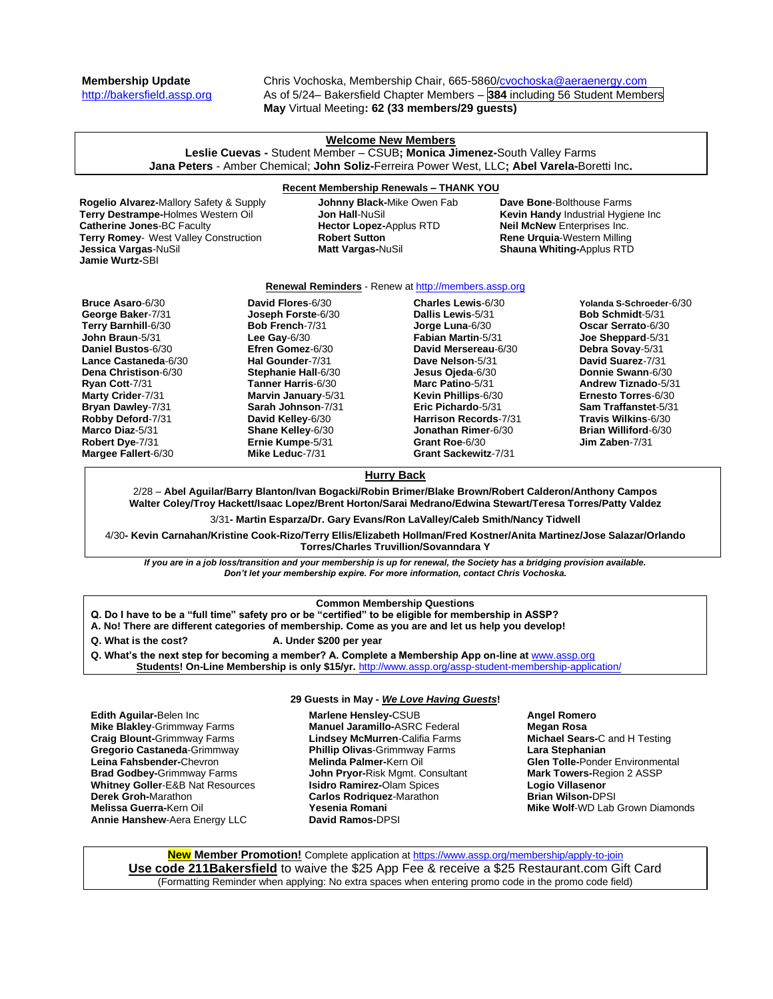**Derek Groh-**Marathon **Melissa Guerra-**Kern Oil **Annie Hanshew**-Aera Energy LLC

**Membership Update** Chris Vochoska, Membership Chair, 665-5860[/cvochoska@aeraenergy.com](mailto:cvochoska@aeraenergy.com)<br>http://bakersfield.assp.org As of 5/24– Bakersfield Chapter Members – **384** including 56 Student Memb As of 5/24– Bakersfield Chapter Members – 384 including 56 Student Members **May** Virtual Meeting**: 62 (33 members/29 guests)**

| <b>Welcome New Members</b><br>Leslie Cuevas - Student Member - CSUB; Monica Jimenez-South Valley Farms<br>Jana Peters - Amber Chemical; John Soliz-Ferreira Power West, LLC; Abel Varela-Boretti Inc.                                                                                                                                                                                                                                                                                                                                                                                                                        |  |                                                                                                                                           |                                                                                                                                                                                                                                                                                                                           |  |                                                                                                                                                                                                                                                                                                            |  |
|------------------------------------------------------------------------------------------------------------------------------------------------------------------------------------------------------------------------------------------------------------------------------------------------------------------------------------------------------------------------------------------------------------------------------------------------------------------------------------------------------------------------------------------------------------------------------------------------------------------------------|--|-------------------------------------------------------------------------------------------------------------------------------------------|---------------------------------------------------------------------------------------------------------------------------------------------------------------------------------------------------------------------------------------------------------------------------------------------------------------------------|--|------------------------------------------------------------------------------------------------------------------------------------------------------------------------------------------------------------------------------------------------------------------------------------------------------------|--|
|                                                                                                                                                                                                                                                                                                                                                                                                                                                                                                                                                                                                                              |  |                                                                                                                                           | <b>Recent Membership Renewals - THANK YOU</b>                                                                                                                                                                                                                                                                             |  |                                                                                                                                                                                                                                                                                                            |  |
| <b>Rogelio Alvarez-Mallory Safety &amp; Supply</b><br>Terry Destrampe-Holmes Western Oil<br><b>Catherine Jones-BC Faculty</b><br>Terry Romey- West Valley Construction<br>Jessica Vargas-NuSil<br><b>Jamie Wurtz-SBI</b>                                                                                                                                                                                                                                                                                                                                                                                                     |  | <b>Johnny Black-Mike Owen Fab</b><br><b>Jon Hall-NuSil</b><br><b>Hector Lopez-Applus RTD</b><br><b>Robert Sutton</b><br>Matt Vargas-NuSil |                                                                                                                                                                                                                                                                                                                           |  | Dave Bone-Bolthouse Farms<br>Kevin Handy Industrial Hygiene Inc<br>Neil McNew Enterprises Inc.<br>Rene Urquia-Western Milling<br><b>Shauna Whiting-Applus RTD</b>                                                                                                                                          |  |
| <b>Renewal Reminders</b> - Renew at http://members.assp.org                                                                                                                                                                                                                                                                                                                                                                                                                                                                                                                                                                  |  |                                                                                                                                           |                                                                                                                                                                                                                                                                                                                           |  |                                                                                                                                                                                                                                                                                                            |  |
| David Flores-6/30<br><b>Bruce Asaro-6/30</b><br>George Baker-7/31<br><b>Joseph Forste-6/30</b><br>Terry Barnhill-6/30<br><b>Bob French-7/31</b><br>John Braun-5/31<br>Lee Gay- $6/30$<br>Daniel Bustos-6/30<br>Efren Gomez-6/30<br>Hal Gounder-7/31<br>Lance Castaneda-6/30<br>Dena Christison-6/30<br>Stephanie Hall-6/30<br>Tanner Harris-6/30<br>Ryan Cott-7/31<br>Marty Crider-7/31<br>Marvin January-5/31<br>Bryan Dawley-7/31<br>Sarah Johnson-7/31<br>Robby Deford-7/31<br>David Kelley-6/30<br>Marco Diaz-5/31<br>Shane Kelley-6/30<br>Robert Dye-7/31<br>Ernie Kumpe-5/31<br>Margee Fallert-6/30<br>Mike Leduc-7/31 |  |                                                                                                                                           | Charles Lewis-6/30<br>Dallis Lewis-5/31<br>Jorge Luna-6/30<br><b>Fabian Martin-5/31</b><br>David Mersereau-6/30<br>Dave Nelson-5/31<br>Jesus Ojeda-6/30<br>Marc Patino-5/31<br>Kevin Phillips-6/30<br>Eric Pichardo-5/31<br><b>Harrison Records-7/31</b><br>Jonathan Rimer-6/30<br>Grant Roe-6/30<br>Grant Sackewitz-7/31 |  | Yolanda S-Schroeder-6/30<br><b>Bob Schmidt-5/31</b><br>Oscar Serrato-6/30<br>Joe Sheppard-5/31<br>Debra Sovay-5/31<br>David Suarez-7/31<br>Donnie Swann-6/30<br>Andrew Tiznado-5/31<br>Ernesto Torres-6/30<br>Sam Traffanstet-5/31<br>Travis Wilkins-6/30<br><b>Brian Williford-6/30</b><br>Jim Zaben-7/31 |  |
|                                                                                                                                                                                                                                                                                                                                                                                                                                                                                                                                                                                                                              |  |                                                                                                                                           |                                                                                                                                                                                                                                                                                                                           |  |                                                                                                                                                                                                                                                                                                            |  |
| <b>Hurry Back</b><br>2/28 - Abel Aguilar/Barry Blanton/Ivan Bogacki/Robin Brimer/Blake Brown/Robert Calderon/Anthony Campos                                                                                                                                                                                                                                                                                                                                                                                                                                                                                                  |  |                                                                                                                                           |                                                                                                                                                                                                                                                                                                                           |  |                                                                                                                                                                                                                                                                                                            |  |
| Walter Coley/Troy Hackett/Isaac Lopez/Brent Horton/Sarai Medrano/Edwina Stewart/Teresa Torres/Patty Valdez                                                                                                                                                                                                                                                                                                                                                                                                                                                                                                                   |  |                                                                                                                                           |                                                                                                                                                                                                                                                                                                                           |  |                                                                                                                                                                                                                                                                                                            |  |
| 3/31- Martin Esparza/Dr. Gary Evans/Ron LaValley/Caleb Smith/Nancy Tidwell                                                                                                                                                                                                                                                                                                                                                                                                                                                                                                                                                   |  |                                                                                                                                           |                                                                                                                                                                                                                                                                                                                           |  |                                                                                                                                                                                                                                                                                                            |  |
| 4/30- Kevin Carnahan/Kristine Cook-Rizo/Terry Ellis/Elizabeth Hollman/Fred Kostner/Anita Martinez/Jose Salazar/Orlando<br><b>Torres/Charles Truvillion/Sovanndara Y</b>                                                                                                                                                                                                                                                                                                                                                                                                                                                      |  |                                                                                                                                           |                                                                                                                                                                                                                                                                                                                           |  |                                                                                                                                                                                                                                                                                                            |  |
| If you are in a job loss/transition and your membership is up for renewal, the Society has a bridging provision available.<br>Don't let your membership expire. For more information, contact Chris Vochoska.                                                                                                                                                                                                                                                                                                                                                                                                                |  |                                                                                                                                           |                                                                                                                                                                                                                                                                                                                           |  |                                                                                                                                                                                                                                                                                                            |  |
| <b>Common Membership Questions</b><br>Q. Do I have to be a "full time" safety pro or be "certified" to be eligible for membership in ASSP?<br>A. No! There are different categories of membership. Come as you are and let us help you develop!<br>Q. What is the cost?<br>A. Under \$200 per year<br>Q. What's the next step for becoming a member? A. Complete a Membership App on-line at www.assp.org<br>Students! On-Line Membership is only \$15/yr. http://www.assp.org/assp-student-membership-application/                                                                                                          |  |                                                                                                                                           |                                                                                                                                                                                                                                                                                                                           |  |                                                                                                                                                                                                                                                                                                            |  |
| 29 Guests in May - We Love Having Guests!                                                                                                                                                                                                                                                                                                                                                                                                                                                                                                                                                                                    |  |                                                                                                                                           |                                                                                                                                                                                                                                                                                                                           |  |                                                                                                                                                                                                                                                                                                            |  |
| Edith Aguilar-Belen Inc<br><b>Mike Blakley-Grimmway Farms</b><br><b>Craig Blount-</b> Grimmway Farms<br>Gregorio Castaneda-Grimmway<br>Leina Fahsbender-Chevron<br><b>Brad Godbey-</b> Grimmway Farms<br><b>Whitney Goller-E&amp;B Nat Resources</b>                                                                                                                                                                                                                                                                                                                                                                         |  |                                                                                                                                           | Marlene Hensley-CSUB<br><b>Manuel Jaramillo-ASRC Federal</b><br><b>Lindsey McMurren-Califia Farms</b><br><b>Phillip Olivas-Grimmway Farms</b><br>Melinda Palmer-Kern Oil<br>John Pryor-Risk Mgmt. Consultant<br><b>Isidro Ramirez-Olam Spices</b>                                                                         |  | <b>Angel Romero</b><br><b>Megan Rosa</b><br>Michael Sears-C and H Testing<br>Lara Stephanian<br><b>Glen Tolle-Ponder Environmental</b><br>Mark Towers-Region 2 ASSP<br>Logio Villasenor                                                                                                                    |  |

**New Member Promotion!** Complete application a[t https://www.assp.org/membership/apply-to-join](https://www.assp.org/membership/apply-to-join) **Use code 211Bakersfield** to waive the \$25 App Fee & receive a \$25 Restaurant.com Gift Card (Formatting Reminder when applying: No extra spaces when entering promo code in the promo code field)

**Brian Wilson-**DPSI

**Mike Wolf**-WD Lab Grown Diamonds

**Carlos Rodriquez**-Marathon

**Yesenia Romani David Ramos-**DPSI